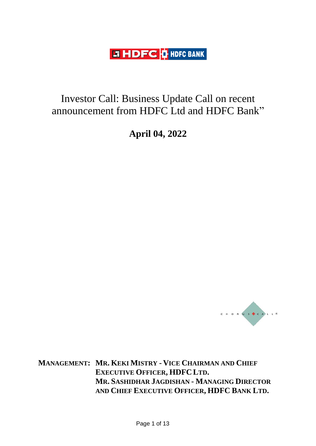**LT HDFC OF HDFC BANK** 

## Investor Call: Business Update Call on recent announcement from HDFC Ltd and HDFC Bank"

**April 04, 2022**



**MANAGEMENT: MR. KEKI MISTRY - VICE CHAIRMAN AND CHIEF EXECUTIVE OFFICER, HDFC LTD. MR. SASHIDHAR JAGDISHAN - MANAGING DIRECTOR AND CHIEF EXECUTIVE OFFICER, HDFC BANK LTD.**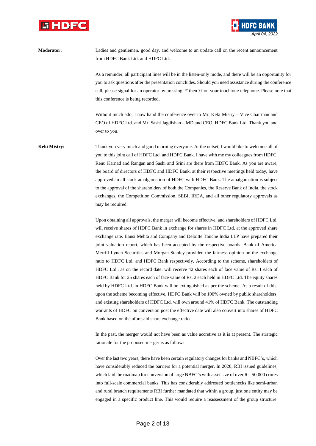



**Moderator:** Ladies and gentlemen, good day, and welcome to an update call on the recent announcement from HDFC Bank Ltd. and HDFC Ltd.

> As a reminder, all participant lines will be in the listen-only mode, and there will be an opportunity for you to ask questions after the presentation concludes. Should you need assistance during the conference call, please signal for an operator by pressing '\*' then '0' on your touchtone telephone. Please note that this conference is being recorded.

Without much ado, I now hand the conference over to Mr. Keki Mistry – Vice Chairman and CEO of HDFC Ltd. and Mr. Sashi Jagdishan – MD and CEO, HDFC Bank Ltd. Thank you and over to you.

**Keki Mistry:** Thank you very much and good morning everyone. At the outset, I would like to welcome all of you to this joint call of HDFC Ltd. and HDFC Bank. I have with me my colleagues from HDFC, Renu Karnad and Rangan and Sashi and Srini are there from HDFC Bank. As you are aware, the board of directors of HDFC and HDFC Bank, at their respective meetings held today, have approved an all stock amalgamation of HDFC with HDFC Bank. The amalgamation is subject to the approval of the shareholders of both the Companies, the Reserve Bank of India, the stock exchanges, the Competition Commission, SEBI, IRDA, and all other regulatory approvals as may be required.

> Upon obtaining all approvals, the merger will become effective, and shareholders of HDFC Ltd. will receive shares of HDFC Bank in exchange for shares in HDFC Ltd. at the approved share exchange rate. Bansi Mehta and Company and Deloitte Touche India LLP have prepared their joint valuation report, which has been accepted by the respective boards. Bank of America Merrill Lynch Securities and Morgan Stanley provided the fairness opinion on the exchange ratio to HDFC Ltd. and HDFC Bank respectively. According to the scheme, shareholders of HDFC Ltd., as on the record date. will receive 42 shares each of face value of Rs. 1 each of HDFC Bank for 25 shares each of face value of Rs. 2 each held in HDFC Ltd. The equity shares held by HDFC Ltd. in HDFC Bank will be extinguished as per the scheme. As a result of this, upon the scheme becoming effective, HDFC Bank will be 100% owned by public shareholders, and existing shareholders of HDFC Ltd. will own around 41% of HDFC Bank. The outstanding warrants of HDFC on conversion post the effective date will also convert into shares of HDFC Bank based on the aforesaid share exchange ratio.

> In the past, the merger would not have been as value accretive as it is at present. The strategic rationale for the proposed merger is as follows:

> Over the last two years, there have been certain regulatory changes for banks and NBFC's, which have considerably reduced the barriers for a potential merger. In 2020, RBI issued guidelines, which laid the roadmap for conversion of large NBFC's with asset size of over Rs. 50,000 crores into full-scale commercial banks. This has considerably addressed bottlenecks like semi-urban and rural branch requirements RBI further mandated that within a group, just one entity may be engaged in a specific product line. This would require a reassessment of the group structure.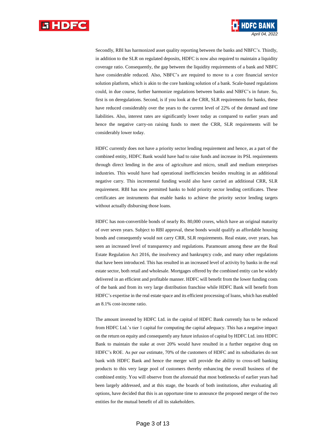

Secondly, RBI has harmonized asset quality reporting between the banks and NBFC's. Thirdly, in addition to the SLR on regulated deposits, HDFC is now also required to maintain a liquidity coverage ratio. Consequently, the gap between the liquidity requirements of a bank and NBFC have considerable reduced. Also, NBFC's are required to move to a core financial service solution platform, which is akin to the core banking solution of a bank. Scale-based regulations could, in due course, further harmonize regulations between banks and NBFC's in future. So, first is on deregulations. Second, is if you look at the CRR, SLR requirements for banks, these have reduced considerably over the years to the current level of 22% of the demand and time liabilities. Also, interest rates are significantly lower today as compared to earlier years and hence the negative carry-on raising funds to meet the CRR, SLR requirements will be considerably lower today.

*April 04, 2022*

HDFC currently does not have a priority sector lending requirement and hence, as a part of the combined entity, HDFC Bank would have had to raise funds and increase its PSL requirements through direct lending in the area of agriculture and micro, small and medium enterprises industries. This would have had operational inefficiencies besides resulting in an additional negative carry. This incremental funding would also have carried an additional CRR, SLR requirement. RBI has now permitted banks to hold priority sector lending certificates. These certificates are instruments that enable banks to achieve the priority sector lending targets without actually disbursing those loans.

HDFC has non-convertible bonds of nearly Rs. 80,000 crores, which have an original maturity of over seven years. Subject to RBI approval, these bonds would qualify as affordable housing bonds and consequently would not carry CRR, SLR requirements. Real estate, over years, has seen an increased level of transparency and regulations. Paramount among these are the Real Estate Regulation Act 2016, the insolvency and bankruptcy code, and many other regulations that have been introduced. This has resulted in an increased level of activity by banks in the real estate sector, both retail and wholesale. Mortgages offered by the combined entity can be widely delivered in an efficient and profitable manner. HDFC will benefit from the lower funding costs of the bank and from its very large distribution franchise while HDFC Bank will benefit from HDFC's expertise in the real estate space and its efficient processing of loans, which has enabled an 8.1% cost-income ratio.

The amount invested by HDFC Ltd. in the capital of HDFC Bank currently has to be reduced from HDFC Ltd.'s tier 1 capital for computing the capital adequacy. This has a negative impact on the return on equity and consequently any future infusion of capital by HDFC Ltd. into HDFC Bank to maintain the stake at over 20% would have resulted in a further negative drag on HDFC's ROE. As per our estimate, 70% of the customers of HDFC and its subsidiaries do not bank with HDFC Bank and hence the merger will provide the ability to cross-sell banking products to this very large pool of customers thereby enhancing the overall business of the combined entity. You will observe from the aforesaid that most bottlenecks of earlier years had been largely addressed, and at this stage, the boards of both institutions, after evaluating all options, have decided that this is an opportune time to announce the proposed merger of the two entities for the mutual benefit of all its stakeholders.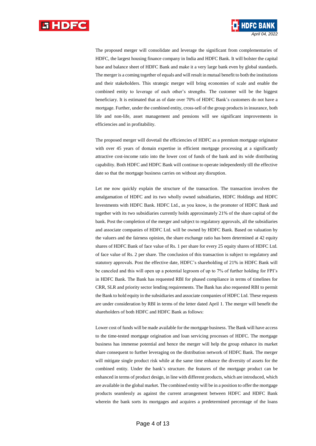

The proposed merger will consolidate and leverage the significant from complementaries of HDFC, the largest housing finance company in India and HDFC Bank. It will bolster the capital base and balance sheet of HDFC Bank and make it a very large bank even by global standards. The merger is a coming together of equals and will result in mutual benefit to both the institutions and their stakeholders. This strategic merger will bring economies of scale and enable the combined entity to leverage of each other's strengths. The customer will be the biggest beneficiary. It is estimated that as of date over 70% of HDFC Bank's customers do not have a mortgage. Further, under the combined entity, cross-sell of the group products in insurance, both life and non-life, asset management and pensions will see significant improvements in efficiencies and in profitability.

*April 04, 2022*

The proposed merger will dovetail the efficiencies of HDFC as a premium mortgage originator with over 45 years of domain expertise in efficient mortgage processing at a significantly attractive cost-income ratio into the lower cost of funds of the bank and its wide distributing capability. Both HDFC and HDFC Bank will continue to operate independently till the effective date so that the mortgage business carries on without any disruption.

Let me now quickly explain the structure of the transaction. The transaction involves the amalgamation of HDFC and its two wholly owned subsidiaries, HDFC Holdings and HDFC Investments with HDFC Bank. HDFC Ltd., as you know, is the promoter of HDFC Bank and together with its two subsidiaries currently holds approximately 21% of the share capital of the bank. Post the completion of the merger and subject to regulatory approvals, all the subsidiaries and associate companies of HDFC Ltd. will be owned by HDFC Bank. Based on valuation by the valuers and the fairness opinion, the share exchange ratio has been determined at 42 equity shares of HDFC Bank of face value of Rs. 1 per share for every 25 equity shares of HDFC Ltd. of face value of Rs. 2 per share. The conclusion of this transaction is subject to regulatory and statutory approvals. Post the effective date, HDFC's shareholding of 21% in HDFC Bank will be canceled and this will open up a potential legroom of up to 7% of further holding for FPI's in HDFC Bank. The Bank has requested RBI for phased compliance in terms of timelines for CRR, SLR and priority sector lending requirements. The Bank has also requested RBI to permit the Bank to hold equity in the subsidiaries and associate companies of HDFC Ltd. These requests are under consideration by RBI in terms of the letter dated April 1. The merger will benefit the shareholders of both HDFC and HDFC Bank as follows:

Lower cost of funds will be made available for the mortgage business. The Bank will have access to the time-tested mortgage origination and loan servicing processes of HDFC. The mortgage business has immense potential and hence the merger will help the group enhance its market share consequent to further leveraging on the distribution network of HDFC Bank. The merger will mitigate single product risk while at the same time enhance the diversity of assets for the combined entity. Under the bank's structure. the features of the mortgage product can be enhanced in terms of product design, in line with different products, which are introduced, which are available in the global market. The combined entity will be in a position to offer the mortgage products seamlessly as against the current arrangement between HDFC and HDFC Bank wherein the bank sorts its mortgages and acquires a predetermined percentage of the loans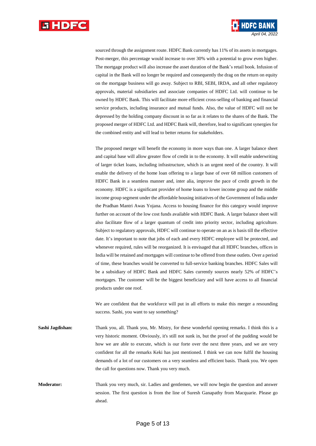

sourced through the assignment route. HDFC Bank currently has 11% of its assets in mortgages. Post-merger, this percentage would increase to over 30% with a potential to grow even higher. The mortgage product will also increase the asset duration of the Bank's retail book. Infusion of capital in the Bank will no longer be required and consequently the drag on the return on equity on the mortgage business will go away. Subject to RBI, SEBI, IRDA, and all other regulatory approvals, material subsidiaries and associate companies of HDFC Ltd. will continue to be owned by HDFC Bank. This will facilitate more efficient cross-selling of banking and financial service products, including insurance and mutual funds. Also, the value of HDFC will not be depressed by the holding company discount in so far as it relates to the shares of the Bank. The proposed merger of HDFC Ltd. and HDFC Bank will, therefore, lead to significant synergies for the combined entity and will lead to better returns for stakeholders.

*April 04, 2022*

The proposed merger will benefit the economy in more ways than one. A larger balance sheet and capital base will allow greater flow of credit in to the economy. It will enable underwriting of larger ticket loans, including infrastructure, which is an urgent need of the country. It will enable the delivery of the home loan offering to a large base of over 68 million customers of HDFC Bank in a seamless manner and, inter alia, improve the pace of credit growth in the economy. HDFC is a significant provider of home loans to lower income group and the middle income group segment under the affordable housing initiatives of the Government of India under the Pradhan Mantri Awas Yojana. Access to housing finance for this category would improve further on account of the low cost funds available with HDFC Bank. A larger balance sheet will also facilitate flow of a larger quantum of credit into priority sector, including agriculture. Subject to regulatory approvals, HDFC will continue to operate on an as is basis till the effective date. It's important to note that jobs of each and every HDFC employee will be protected, and whenever required, rules will be reorganized. It is envisaged that all HDFC branches, offices in India will be retained and mortgages will continue to be offered from these outlets. Over a period of time, these branches would be converted to full-service banking branches. HDFC Sales will be a subsidiary of HDFC Bank and HDFC Sales currently sources nearly 52% of HDFC's mortgages. The customer will be the biggest beneficiary and will have access to all financial products under one roof.

We are confident that the workforce will put in all efforts to make this merger a resounding success. Sashi, you want to say something?

**Sashi Jagdishan:** Thank you, all. Thank you, Mr. Mistry, for these wonderful opening remarks. I think this is a very historic moment. Obviously, it's still not sunk in, but the proof of the pudding would be how we are able to execute, which is our forte over the next three years, and we are very confident for all the remarks Keki has just mentioned. I think we can now fulfil the housing demands of a lot of our customers on a very seamless and efficient basis. Thank you. We open the call for questions now. Thank you very much.

**Moderator:** Thank you very much, sir. Ladies and gentlemen, we will now begin the question and answer session. The first question is from the line of Suresh Ganapathy from Macquarie. Please go ahead.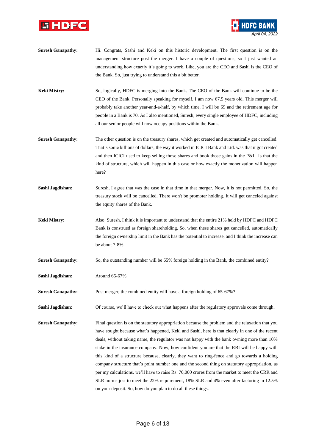



**Suresh Ganapathy:** Hi. Congrats, Sashi and Keki on this historic development. The first question is on the management structure post the merger. I have a couple of questions, so I just wanted an understanding how exactly it's going to work. Like, you are the CEO and Sashi is the CEO of the Bank. So, just trying to understand this a bit better.

**Keki Mistry:** So, logically, HDFC is merging into the Bank. The CEO of the Bank will continue to be the CEO of the Bank. Personally speaking for myself, I am now 67.5 years old. This merger will probably take another year-and-a-half, by which time, I will be 69 and the retirement age for people in a Bank is 70. As I also mentioned, Suresh, every single employee of HDFC, including all our senior people will now occupy positions within the Bank.

- **Suresh Ganapathy:** The other question is on the treasury shares, which get created and automatically get cancelled. That's some billions of dollars, the way it worked in ICICI Bank and Ltd. was that it got created and then ICICI used to keep selling those shares and book those gains in the P&L. Is that the kind of structure, which will happen in this case or how exactly the monetization will happen here?
- **Sashi Jagdishan:** Suresh, I agree that was the case in that time in that merger. Now, it is not permitted. So, the treasury stock will be cancelled. There won't be promoter holding. It will get canceled against the equity shares of the Bank.
- **Keki Mistry:** Also, Suresh, I think it is important to understand that the entire 21% held by HDFC and HDFC Bank is construed as foreign shareholding. So, when these shares get cancelled, automatically the foreign ownership limit in the Bank has the potential to increase, and I think the increase can be about 7-8%.
- **Suresh Ganapathy:** So, the outstanding number will be 65% foreign holding in the Bank, the combined entity?

**Sashi Jagdishan:** Around 65-67%.

**Suresh Ganapathy:** Post merger, the combined entity will have a foreign holding of 65-67%?

**Sashi Jagdishan:** Of course, we'll have to check out what happens after the regulatory approvals come through.

**Suresh Ganapathy:** Final question is on the statutory appropriation because the problem and the relaxation that you have sought because what's happened, Keki and Sashi, here is that clearly in one of the recent deals, without taking name, the regulator was not happy with the bank owning more than 10% stake in the insurance company. Now, how confident you are that the RBI will be happy with this kind of a structure because, clearly, they want to ring-fence and go towards a holding company structure that's point number one and the second thing on statutory appropriation, as per my calculations, we'll have to raise Rs. 70,000 crores from the market to meet the CRR and SLR norms just to meet the 22% requirement, 18% SLR and 4% even after factoring in 12.5% on your deposit. So, how do you plan to do all these things.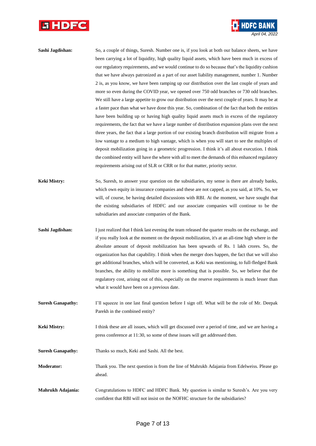



| Sashi Jagdishan:    | So, a couple of things, Suresh. Number one is, if you look at both our balance sheets, we have       |
|---------------------|------------------------------------------------------------------------------------------------------|
|                     | been carrying a lot of liquidity, high quality liquid assets, which have been much in excess of      |
|                     | our regulatory requirements, and we would continue to do so because that's the liquidity cushion     |
|                     | that we have always patronized as a part of our asset liability management, number 1. Number         |
|                     | 2 is, as you know, we have been ramping up our distribution over the last couple of years and        |
|                     | more so even during the COVID year, we opened over 750 odd branches or 730 odd branches.             |
|                     | We still have a large appetite to grow our distribution over the next couple of years. It may be at  |
|                     | a faster pace than what we have done this year. So, combination of the fact that both the entities   |
|                     | have been building up or having high quality liquid assets much in excess of the regulatory          |
|                     | requirements, the fact that we have a large number of distribution expansion plans over the next     |
|                     | three years, the fact that a large portion of our existing branch distribution will migrate from a   |
|                     | low vantage to a medium to high vantage, which is when you will start to see the multiples of        |
|                     | deposit mobilization going in a geometric progression. I think it's all about execution. I think     |
|                     | the combined entity will have the where with all to meet the demands of this enhanced regulatory     |
|                     | requirements arising out of SLR or CRR or for that matter, priority sector.                          |
| <b>Keki Mistry:</b> | So, Suresh, to answer your question on the subsidiaries, my sense is there are already banks,        |
|                     | which own equity in insurance companies and these are not capped, as you said, at 10%. So, we        |
|                     | will, of course, be having detailed discussions with RBI. At the moment, we have sought that         |
|                     | the existing subsidiaries of HDFC and our associate companies will continue to be the                |
|                     | subsidiaries and associate companies of the Bank.                                                    |
| Sashi Jagdishan:    | I just realized that I think last evening the team released the quarter results on the exchange, and |
|                     | if you really look at the moment on the deposit mobilization, it's at an all-time high where in the  |
|                     | absolute amount of deposit mobilization has been upwards of Rs. 1 lakh crores. So, the               |
|                     | organization has that capability. I think when the merger does happen, the fact that we will also    |
|                     | get additional branches, which will be converted, as Keki was mentioning, to full-fledged Bank       |
|                     | branches, the ability to mobilize more is something that is possible. So, we believe that the        |

**Suresh Ganapathy:** I'll squeeze in one last final question before I sign off. What will be the role of Mr. Deepak

what it would have been on a previous date.

Parekh in the combined entity?

regulatory cost, arising out of this, especially on the reserve requirements is much lesser than

**Keki Mistry:** I think these are all issues, which will get discussed over a period of time, and we are having a press conference at 11:30, so some of these issues will get addressed then.

**Suresh Ganapathy:** Thanks so much, Keki and Sashi. All the best.

**Moderator:** Thank you. The next question is from the line of Mahrukh Adajania from Edelweiss. Please go ahead.

**Mahrukh Adajania:** Congratulations to HDFC and HDFC Bank. My question is similar to Suresh's. Are you very confident that RBI will not insist on the NOFHC structure for the subsidiaries?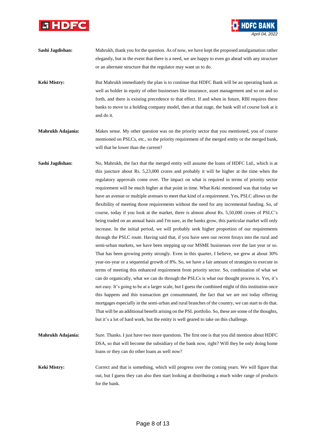



*April 04, 2022*

**Keki Mistry:** But Mahrukh immediately the plan is to continue that HDFC Bank will be an operating bank as well as holder in equity of other businesses like insurance, asset management and so on and so forth, and there is existing precedence to that effect. If and when in future, RBI requires these banks to move to a holding company model, then at that stage, the bank will of course look at it and do it.

**Mahrukh Adajania:** Makes sense. My other question was on the priority sector that you mentioned, you of course mentioned on PSLCs, etc., so the priority requirement of the merged entity or the merged bank, will that be lower than the current?

**Sashi Jagdishan:** No, Mahrukh, the fact that the merged entity will assume the loans of HDFC Ltd., which is at this juncture about Rs. 5,23,000 crores and probably it will be higher at the time when the regulatory approvals come over. The impact on what is required in terms of priority sector requirement will be much higher at that point in time. What Keki mentioned was that today we have an avenue or multiple avenues to meet that kind of a requirement. Yes, PSLC allows us the flexibility of meeting those requirements without the need for any incremental funding. So, of course, today if you look at the market, there is almost about Rs. 5,50,000 crores of PSLC's being traded on an annual basis and I'm sure, as the banks grow, this particular market will only increase. In the initial period, we will probably seek higher proportion of our requirements through the PSLC route. Having said that, if you have seen our recent forays into the rural and semi-urban markets, we have been stepping up our MSME businesses over the last year or so. That has been growing pretty strongly. Even in this quarter, I believe, we grew at about 30% year-on-year or a sequential growth of 8%. So, we have a fair amount of strategies to execute in terms of meeting this enhanced requirement from priority sector. So, combination of what we can do organically, what we can do through the PSLCs is what our thought process is. Yes, it's not easy. It's going to be at a larger scale, but I guess the combined might of this institution once this happens and this transaction get consummated, the fact that we are not today offering mortgages especially in the semi-urban and rural branches of the country, we can start to do that. That will be an additional benefit arising on the PSL portfolio. So, these are some of the thoughts, but it's a lot of hard work, but the entity is well geared to take on this challenge.

**Mahrukh Adajania:** Sure. Thanks. I just have two more questions. The first one is that you did mention about HDFC DSA, so that will become the subsidiary of the bank now, right? Will they be only doing home loans or they can do other loans as well now?

**Keki Mistry:** Correct and that is something, which will progress over the coming years. We will figure that out, but I guess they can also then start looking at distributing a much wider range of products for the bank.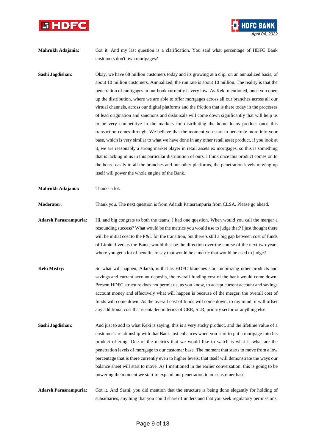



- **Mahrukh Adajania:** Got it. And my last question is a clarification. You said what percentage of HDFC Bank customers don't own mortgages?
- **Sashi Jagdishan:** Okay, we have 68 million customers today and its growing at a clip, on an annualized basis, of about 10 million customers. Annualized, the run rate is about 10 million. The reality is that the penetration of mortgages in our book currently is very low. As Keki mentioned, once you open up the distribution, where we are able to offer mortgages across all our branches across all our virtual channels, across our digital platforms and the friction that is there today in the processes of lead origination and sanctions and disbursals will come down significantly that will help us to be very competitive in the markets for distributing the home loans product once this transaction comes through. We believe that the moment you start to penetrate more into your base, which is very similar to what we have done in any other retail asset product, if you look at it, we are reasonably a strong market player in retail assets ex mortgages, so this is something that is lacking in us in this particular distribution of ours. I think once this product comes on to the board easily to all the branches and our other platforms, the penetration levels moving up itself will power the whole engine of the Bank.
- **Mahrukh Adajania:** Thanks a lot.

**Moderator:** Thank you. The next question is from Adarsh Parasrampuria from CLSA. Please go ahead.

- **Adarsh Parasrampuria:** Hi, and big congrats to both the teams. I had one question. When would you call the merger a resounding success? What would be the metrics you would use to judge that? I just thought there will be initial cost to the P&L for the transition, but there's still a big gap between cost of funds of Limited versus the Bank, would that be the direction over the course of the next two years where you get a lot of benefits to say that would be a metric that would be used to judge?
- **Keki Mistry:** So what will happen, Adarsh, is that as HDFC branches start mobilizing other products and savings and current account deposits, the overall funding cost of the bank would come down. Present HDFC structure does not permit us, as you know, to accept current account and savings account money and effectively what will happen is because of the merger, the overall cost of funds will come down. As the overall cost of funds will come down, to my mind, it will offset any additional cost that is entailed in terms of CRR, SLR, priority sector or anything else.
- **Sashi Jagdishan:** And just to add to what Keki is saying, this is a very sticky product, and the lifetime value of a customer's relationship with that Bank just enhances when you start to put a mortgage into his product offering. One of the metrics that we would like to watch is what is what are the penetration levels of mortgage to our customer base. The moment that starts to move from a low percentage that is there currently even to higher levels, that itself will demonstrate the ways our balance sheet will start to move. As I mentioned in the earlier conversation, this is going to be powering the moment we start to expand our penetration to our customer base.

**Adarsh Parasrampuria:** Got it. And Sashi, you did mention that the structure is being done elegantly for holding of subsidiaries, anything that you could share? I understand that you seek regulatory permissions,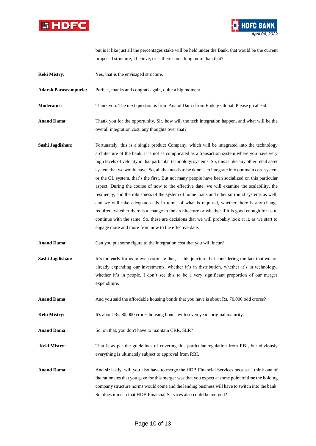



but is it like just all the percentages stake will be held under the Bank, that would be the current proposed structure, I believe, or is there something more than that?

**Keki Mistry:** Yes, that is the envisaged structure.

**Adarsh Parasrampuria:** Perfect, thanks and congrats again, quite a big moment.

**Moderator:** Thank you. The next question is from Anand Dama from Emkay Global. Please go ahead.

- **Anand Dama:** Thank you for the opportunity. Sir, how will the tech integration happen, and what will be the overall integration cost, any thoughts over that?
- **Sashi Jagdishan:** Fortunately, this is a single product Company, which will be integrated into the technology architecture of the bank, it is not as complicated as a transaction system where you have very high levels of velocity in that particular technology systems. So, this is like any other retail asset system that we would have. So, all that needs to be done is to integrate into our main core system or the GL system, that's the first. But not many people have been socialized on this particular aspect. During the course of now to the effective date, we will examine the scalability, the resiliency, and the robustness of the system of home loans and other surround systems as well, and we will take adequate calls in terms of what is required, whether there is any change required, whether there is a change in the architecture or whether if it is good enough for us to continue with the same. So, these are decisions that we will probably look at it, as we start to engage more and more from now to the effective date.

**Anand Dama:** Can you put some figure to the integration cost that you will incur?

- **Sashi Jagdishan:** It's too early for us to even estimate that, at this juncture, but considering the fact that we are already expanding our investments, whether it's in distribution, whether it's in technology, whether it's in people, I don't see this to be a very significant proportion of our merger expenditure.
- **Anand Dama:** And you said the affordable housing bonds that you have is about Rs. 70,000 odd crores?
- **Keki Mistry:** It's about Rs. 80,000 crores housing bonds with seven years original maturity.

**Anand Dama:** So, on that, you don't have to maintain CRR, SLR?

**Keki Mistry:** That is as per the guidelines of covering this particular regulation from RBI, but obviously everything is ultimately subject to approval from RBI.

**Anand Dama:** And sir lastly, will you also have to merge the HDB Financial Services because I think one of the rationales that you gave for this merger was that you expect at some point of time the holding company structure norms would come and the lending business will have to switch into the bank. So, does it mean that HDB Financial Services also could be merged?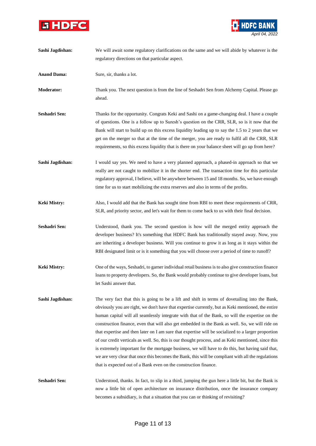



| Sashi Jagdishan:    | We will await some regulatory clarifications on the same and we will abide by whatever is the<br>regulatory directions on that particular aspect.                                                          |
|---------------------|------------------------------------------------------------------------------------------------------------------------------------------------------------------------------------------------------------|
|                     |                                                                                                                                                                                                            |
| <b>Anand Dama:</b>  | Sure, sir, thanks a lot.                                                                                                                                                                                   |
| Moderator:          | Thank you. The next question is from the line of Seshadri Sen from Alchemy Capital. Please go<br>ahead.                                                                                                    |
|                     |                                                                                                                                                                                                            |
| Seshadri Sen:       | Thanks for the opportunity. Congrats Keki and Sashi on a game-changing deal. I have a couple<br>of questions. One is a follow up to Suresh's question on the CRR, SLR, so is it now that the               |
|                     | Bank will start to build up on this excess liquidity leading up to say the 1.5 to 2 years that we                                                                                                          |
|                     | get on the merger so that at the time of the merger, you are ready to fulfil all the CRR, SLR                                                                                                              |
|                     | requirements, so this excess liquidity that is there on your balance sheet will go up from here?                                                                                                           |
| Sashi Jagdishan:    | I would say yes. We need to have a very planned approach, a phased-in approach so that we                                                                                                                  |
|                     | really are not caught to mobilize it in the shorter end. The transaction time for this particular                                                                                                          |
|                     | regulatory approval, I believe, will be anywhere between 15 and 18 months. So, we have enough                                                                                                              |
|                     | time for us to start mobilizing the extra reserves and also in terms of the profits.                                                                                                                       |
| <b>Keki Mistry:</b> | Also, I would add that the Bank has sought time from RBI to meet these requirements of CRR,                                                                                                                |
|                     | SLR, and priority sector, and let's wait for them to come back to us with their final decision.                                                                                                            |
| Seshadri Sen:       | Understood, thank you. The second question is how will the merged entity approach the                                                                                                                      |
|                     | developer business? It's something that HDFC Bank has traditionally stayed away. Now, you                                                                                                                  |
|                     | are inheriting a developer business. Will you continue to grow it as long as it stays within the                                                                                                           |
|                     | RBI designated limit or is it something that you will choose over a period of time to runoff?                                                                                                              |
| Keki Mistry:        | One of the ways, Seshadri, to garner individual retail business is to also give construction finance                                                                                                       |
|                     | loans to property developers. So, the Bank would probably continue to give developer loans, but                                                                                                            |
|                     | let Sashi answer that.                                                                                                                                                                                     |
| Sashi Jagdishan:    | The very fact that this is going to be a lift and shift in terms of dovetailing into the Bank,                                                                                                             |
|                     | obviously you are right, we don't have that expertise currently, but as Keki mentioned, the entire                                                                                                         |
|                     | human capital will all seamlessly integrate with that of the Bank, so will the expertise on the                                                                                                            |
|                     | construction finance, even that will also get embedded in the Bank as well. So, we will ride on                                                                                                            |
|                     | that expertise and then later on I am sure that expertise will be socialized to a larger proportion<br>of our credit verticals as well. So, this is our thought process, and as Keki mentioned, since this |
|                     | is extremely important for the mortgage business, we will have to do this, but having said that,                                                                                                           |
|                     | we are very clear that once this becomes the Bank, this will be compliant with all the regulations                                                                                                         |
|                     | that is expected out of a Bank even on the construction finance.                                                                                                                                           |
| Seshadri Sen:       | Understood, thanks. In fact, to slip in a third, jumping the gun here a little bit, but the Bank is                                                                                                        |
|                     | now a little bit of open architecture on insurance distribution, once the insurance company                                                                                                                |
|                     | becomes a subsidiary, is that a situation that you can or thinking of revisiting?                                                                                                                          |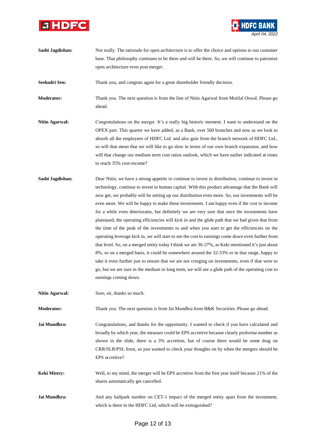



**Sashi Jagdishan:** Not really. The rationale for open architecture is to offer the choice and options to our customer base. That philosophy continues to be there and will be there. So, we will continue to patronize open architecture even post merger.

**Seshadri Sen:** Thank you, and congrats again for a great shareholder friendly decision.

**Moderator:** Thank you. The next question is from the line of Nitin Agarwal from Motilal Oswal. Please go ahead.

- **Nitin Agarwal:** Congratulations on the merger. It's a really big historic moment. I want to understand on the OPEX part. This quarter we have added, as a Bank, over 560 branches and now as we look to absorb all the employees of HDFC Ltd. and also gain from the branch network of HDFC Ltd., so will that mean that we will like to go slow in terms of our own branch expansion, and how will that change our medium term cost ratios outlook, which we have earlier indicated at times to reach 35% cost-income?
- **Sashi Jagdishan:** Dear Nitin, we have a strong appetite to continue to invest in distribution, continue to invest in technology, continue to invest in human capital. With this product advantage that the Bank will now get, we probably will be setting up our distribution even more. So, our investments will be even more. We will be happy to make these investments. I am happy even if the cost to income for a while even deteriorates, but definitely we are very sure that once the investments have plateaued, the operating efficiencies will kick in and the glide path that we had given that from the time of the peak of the investments to and when you start to get the efficiencies on the operating leverage kick in, we will start to see the cost to earnings come down even further from that level. So, on a merged entity today I think we are 36-37%, as Keki mentioned it's just about 8%, so on a merged basis, it could be somewhere around the 32-33% or in that range, happy to take it even further just to ensure that we are not cringing on investments, even if that were to go, but we are sure in the medium to long term, we will see a glide path of the operating cost to earnings coming down.
- **Nitin Agarwal:** Sure, sir, thanks so much.

**Moderator:** Thank you. The next question is from Jai Mundhra from B&K Securities. Please go ahead.

**Jai Mundhra:** Congratulations, and thanks for the opportunity. I wanted to check if you have calculated and broadly by which year, the measure could be EPS accretive because clearly proforma number as shown in the slide, there is a 3% accretion, but of course there would be some drag on CRR/SLR/PSL front, so just wanted to check your thoughts on by when the mergers should be EPS accretive?

- **Keki Mistry:** Well, to my mind, the merger will be EPS accretive from the first year itself because 21% of the shares automatically get cancelled.
- **Jai Mundhra:** And any ballpark number on CET-1 impact of the merged entity apart from the investment, which is there in the HDFC Ltd, which will be extinguished?